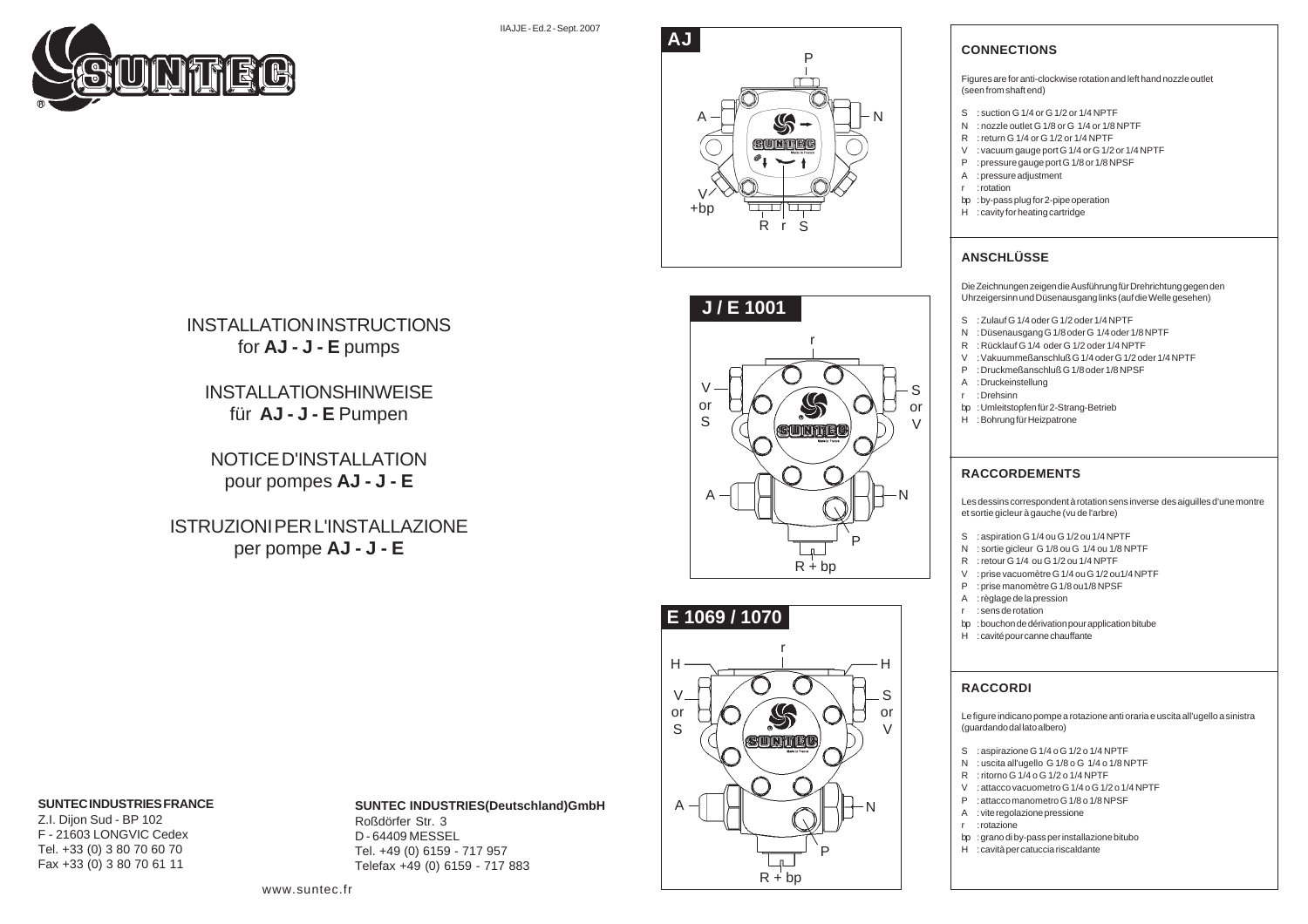

IIAJJE - Ed.2 - Sept. 2007



# **J / E 1001**



S or  $\mathbf{V}$ 

# r **E 1069 / 1070** H



# **CONNECTIONS**

Figures are for anti-clockwise rotation and left hand nozzle outlet (seen from shaft end)

- S : suction G 1/4 or G 1/2 or 1/4 NPTE
- N : nozzle outlet G 1/8 or G 1/4 or 1/8 NPTF
- R : return G 1/4 or G 1/2 or 1/4 NPTF
- V : vacuum gauge port G 1/4 or G 1/2 or 1/4 NPTF
- P : pressure gauge port G 1/8 or 1/8 NPSF
- A : pressure adjustment
- r : rotation
- bp : by-pass plug for 2-pipe operation
- H : cavity for heating cartridge

# **ANSCHLÜSSE**

Die Zeichnungen zeigen die Ausführung für Drehrichtung gegen den Uhrzeigersinn und Düsenausgang links (auf die Welle gesehen)

- S : Zulauf G 1/4 oder G 1/2 oder 1/4 NPTF
- N : Düsenausgang G 1/8 oder G 1/4 oder 1/8 NPTF
- R : Rücklauf G 1/4 oder G 1/2 oder 1/4 NPTF
- V : Vakuummeßanschluß G 1/4 oder G 1/2 oder 1/4 NPTF
- P : Druckmeßanschluß G 1/8 oder 1/8 NPSF
- A : Druckeinstellung
- r : Drehsinn
- bp : Umleitstopfen für 2-Strang-Betrieb
- H : Bohrung für Heizpatrone

# **RACCORDEMENTS**

Les dessins correspondent à rotation sens inverse des aiguilles d'une montre et sortie gicleur à gauche (vu de l'arbre)

- S : aspiration G 1/4 ou G 1/2 ou 1/4 NPTF
- N : sortie gicleur G 1/8 ou G 1/4 ou 1/8 NPTF
- R : retour G 1/4 ou G 1/2 ou 1/4 NPTF
- V : prise vacuomètre G 1/4 ou G 1/2 ou1/4 NPTF P : prise manomètre G 1/8 ou1/8 NPSF
- A : règlage de la pression
- r : sens de rotation
- 
- bp : bouchon de dérivation pour application bitube
- H : cavité pour canne chauffante

# **RACCORDI**

Le figure indicano pompe a rotazione anti oraria e uscita all'ugello a sinistra (guardando dal lato albero)

- S : aspirazione G 1/4 o G 1/2 o 1/4 NPTF
- N : uscita all'ugello G 1/8 o G 1/4 o 1/8 NPTF
- R : ritorno G 1/4 o G 1/2 o 1/4 NPTF
- V : attacco vacuometro G 1/4 o G 1/2 o 1/4 NPTF
- P : attacco manometro G 1/8 o 1/8 NPSF
- A : vite regolazione pressione
- r : rotazione
- bp : grano di by-pass per installazione bitubo
- H : cavità per catuccia riscaldante

# INSTALLATION INSTRUCTIONS for **AJ - J - E** pumps

INSTALLATIONSHINWEISE für **AJ - J - E** Pumpen

NOTICE D'INSTALLATION pour pompes **AJ - J - E**

ISTRUZIONI PER L'INSTALLAZIONE per pompe **AJ - J - E**

www.suntec.fr

# **SUNTEC INDUSTRIES FRANCE**

Z.I. Diion Sud - BP 102 F - 21603 LONGVIC Cedex Tel. +33 (0) 3 80 70 60 70 Fax +33 (0) 3 80 70 61 11

# **SUNTEC INDUSTRIES(Deutschland)GmbH** Roßdörfer Str. 3 D - 64409 MESSEL Tel. +49 (0) 6159 - 717 957

Telefax +49 (0) 6159 - 717 883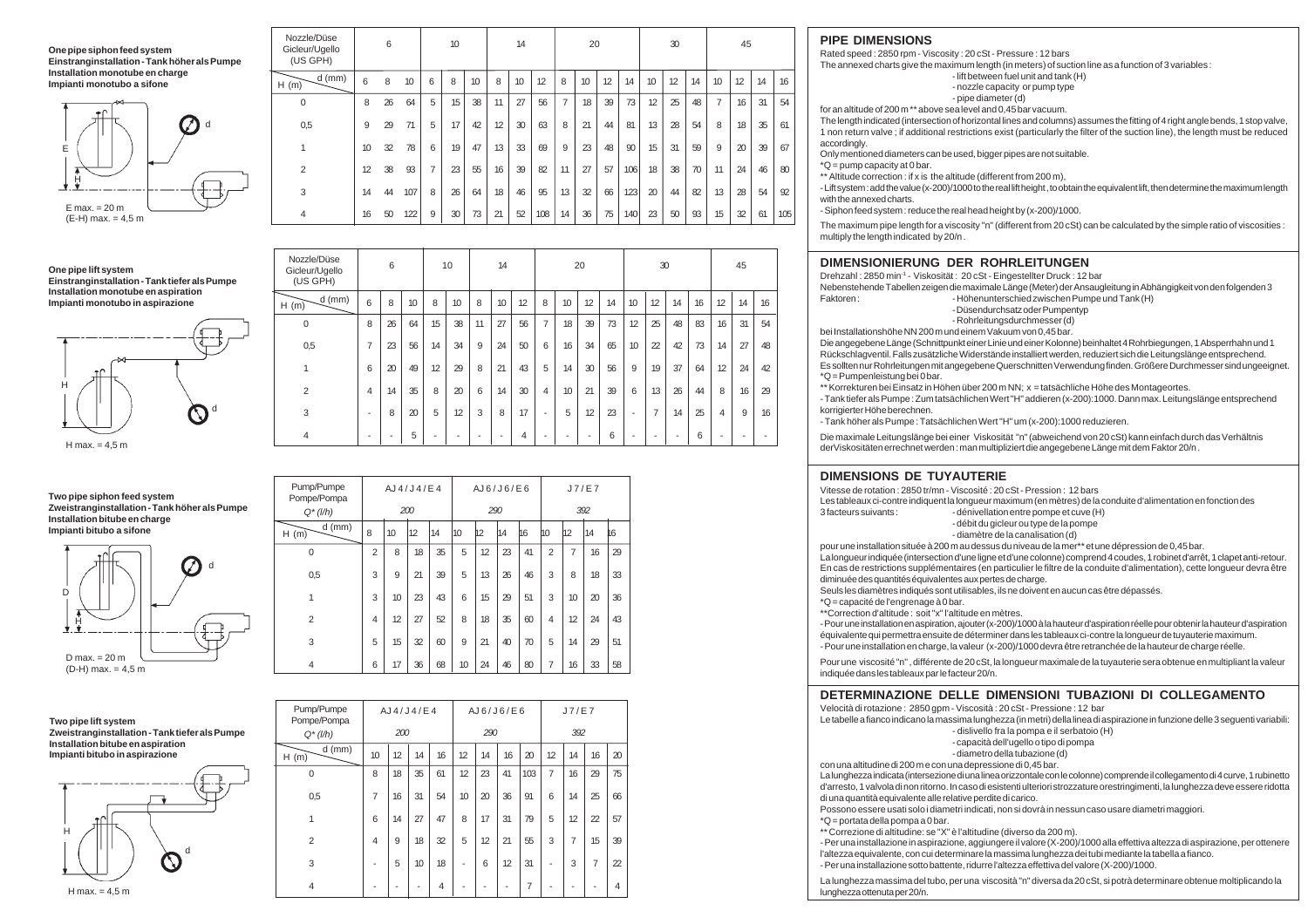**One pipe siphon feed system Einstranginstallation - Tank höher als Pumpe Installation monotube en charge Impianti monotubo a sifone**



**One pipe lift system Einstranginstallation - Tank tiefer als Pumpe Installation monotube en aspiration Impianti monotubo in aspirazione**



**Two pipe siphon feed Zweistranginstallation Installation bitube en Impianti bitubo a sifo** 



**Two pipe lift Zweistrang Installation Impianti bitu** 



| Nozzle/Düse<br>Gicleur/Ugello<br>(US GPH) |    | 6  |     |   | 10 |    |    | 14 |     |                | 20 |    |     |    | 30 |    |    | 45 |    |     |
|-------------------------------------------|----|----|-----|---|----|----|----|----|-----|----------------|----|----|-----|----|----|----|----|----|----|-----|
| $d$ (mm)<br>H(m)                          | 6  | 8  | 10  | 6 | 8  | 10 | 8  | 10 | 12  | 8              | 10 | 12 | 14  | 10 | 12 | 14 | 10 | 12 | 14 | 16  |
| 0                                         | 8  | 26 | 64  | 5 | 15 | 38 | 11 | 27 | 56  | $\overline{7}$ | 18 | 39 | 73  | 12 | 25 | 48 | ⇁  | 16 | 31 | 54  |
| 0,5                                       | 9  | 29 | 71  | 5 | 17 | 42 | 12 | 30 | 63  | 8              | 21 | 44 | 81  | 13 | 28 | 54 | 8  | 18 | 35 | 61  |
|                                           | 10 | 32 | 78  | 6 | 19 | 47 | 13 | 33 | 69  | 9              | 23 | 48 | 90  | 15 | 31 | 59 | 9  | 20 | 39 | 67  |
| 2                                         | 12 | 38 | 93  | 7 | 23 | 55 | 16 | 39 | 82  | 11             | 27 | 57 | 106 | 18 | 38 | 70 | 11 | 24 | 46 | 80  |
| 3                                         | 14 | 44 | 107 | 8 | 26 | 64 | 18 | 46 | 95  | 13             | 32 | 66 | 123 | 20 | 44 | 82 | 13 | 28 | 54 | 92  |
| 4                                         | 16 | 50 | 122 | 9 | 30 | 73 | 21 | 52 | 108 | 14             | 36 | 75 | 140 | 23 | 50 | 93 | 15 | 32 | 61 | 105 |

| Nozzle/Düse<br>Gicleur/Ugello<br>(US GPH) |   | 6                        |    |    | 10 |    | 14 |    |   |    | 20 |    |                          | 30             |    |    |                          | 45 |    |  |
|-------------------------------------------|---|--------------------------|----|----|----|----|----|----|---|----|----|----|--------------------------|----------------|----|----|--------------------------|----|----|--|
| $d$ (mm)<br>H(m)                          | 6 | 8                        | 10 | 8  | 10 | 8  | 10 | 12 | 8 | 10 | 12 | 14 | 10                       | 12             | 14 | 16 | 12                       | 14 | 16 |  |
| $\mathbf 0$                               | 8 | 26                       | 64 | 15 | 38 | 11 | 27 | 56 | 7 | 18 | 39 | 73 | 12                       | 25             | 48 | 83 | 16                       | 31 | 54 |  |
| 0,5                                       | 7 | 23                       | 56 | 14 | 34 | 9  | 24 | 50 | 6 | 16 | 34 | 65 | 10                       | $\overline{2}$ | 42 | 73 | 14                       | 27 | 48 |  |
|                                           | 6 | 20                       | 49 | 12 | 29 | 8  | 21 | 43 | 5 | 14 | 30 | 56 | 9                        | 19             | 37 | 64 | 12                       | 24 | 42 |  |
| 2                                         | 4 | 14                       | 35 | 8  | 20 | 6  | 14 | 30 | 4 | 10 | 21 | 39 | 6                        | 13             | 26 | 44 | 8                        | 16 | 29 |  |
| 3                                         | ٠ | 8                        | 20 | 5  | 12 | 3  | 8  | 17 | ٠ | 5  | 12 | 23 | $\overline{\phantom{a}}$ | 7              | 14 | 25 | 4                        | 9  | 16 |  |
| 4                                         | ٠ | $\overline{\phantom{a}}$ | 5  |    | ٠  |    |    | 4  | ٠ |    | ٠  | 6  |                          | ٠              | ۰  | 6  | $\overline{\phantom{a}}$ |    | ٠  |  |

| Pump/Pumpe<br>Pompe/Pompa |                | AJ4/J4/E4 |       |    |                          | AJ6/J6/E6 |                          |    | J7/E7          |                          |    |    |  |  |
|---------------------------|----------------|-----------|-------|----|--------------------------|-----------|--------------------------|----|----------------|--------------------------|----|----|--|--|
| $Q^*(l/h)$                |                | 200       |       |    |                          | 290       |                          |    |                | 392                      |    |    |  |  |
| $d$ (mm)<br>H(m)          | 8              | 10        | 12    | 14 | 110                      | h2        | 14                       | h6 | 110            | 12                       | 14 | 16 |  |  |
| $\Omega$                  | $\overline{2}$ | 8         | 18    | 35 | 5                        | 12        | 23                       | 41 | $\overline{2}$ | 7                        | 16 | 29 |  |  |
| 0,5                       | 3              | 9         | 21    | 39 | 5                        | 13        | 26                       | 46 | 3              | 8                        | 18 | 33 |  |  |
|                           | 3              | 10        | 23    | 43 | 6                        | 15        | 29                       | 51 | 3              | 10                       | 20 | 36 |  |  |
| 2                         | 4              | 12        | 27    | 52 | 8                        | 18        | 35                       | 60 | 4              | 12                       | 24 | 43 |  |  |
| 3                         | 5              | 15        | 32    | 60 | 9                        | 21        | 40                       | 70 | 5              | 14                       | 29 | 51 |  |  |
|                           | $\sim$         | $-$       | $- -$ | -- | $\overline{\phantom{a}}$ | - -       | $\overline{\phantom{a}}$ |    |                | $\overline{\phantom{a}}$ |    | -- |  |  |

| Pump/Pumpe<br>Pompe/Pompa |    | AJ4/J4/E4 |    |    |    |     | AJ6/J6/E6 |     |                | J7/E7          |                |                |  |
|---------------------------|----|-----------|----|----|----|-----|-----------|-----|----------------|----------------|----------------|----------------|--|
| $Q^*(l/h)$                |    | 200       |    |    |    | 290 |           |     | 392            |                |                |                |  |
| $d$ (mm)<br>H(m)          | 10 | 12        | 14 | 16 | 12 | 14  | 16        | 20  | 12             | 14             | 16             | 20             |  |
| 0                         | 8  | 18        | 35 | 61 | 12 | 23  | 41        | 103 | $\overline{7}$ | 16             | 29             | 75             |  |
| 0,5                       | 7  | 16        | 31 | 54 | 10 | 20  | 36        | 91  | 6              | 14             | 25             | 66             |  |
| 1                         | 6  | 14        | 27 | 47 | 8  | 17  | 31        | 79  | 5              | 12             | $\overline{2}$ | 57             |  |
| $\overline{2}$            | 4  | 9         | 18 | 32 | 5  | 12  | 21        | 55  | 3              | $\overline{7}$ | 15             | 39             |  |
| 3                         |    | 5         | 10 | 18 | ۰  | 6   | 12        | 31  | -              | 3              | $\overline{7}$ | $\overline{2}$ |  |
| 4                         |    |           |    | 4  |    |     |           | 7   |                |                |                | 4              |  |

### **PIPE DIMENSIONS**

Rated speed : 2850 rpm - Viscosity : 20 cSt - Pressure : 12 bars

The annexed charts give the maximum length (in meters) of suction line as a function of 3 variables :

- lift between fuel unit and tank (H)

- nozzle capacity or pump type

- pipe diameter (d)

for an altitude of 200 m \*\* above sea level and 0,45 bar vacuum.

The length indicated (intersection of horizontal lines and columns) assumes the fitting of 4 right angle bends, 1 stop valve, 1 non return valve ; if additional restrictions exist (particularly the filter of the suction line), the length must be reduced accordingly.

Only mentioned diameters can be used, bigger pipes are not suitable.

\*Q = pump capacity at 0 bar.

\*\* Altitude correction : if x is the altitude (different from 200 m),

- Lift system : add the value (x-200)/1000 to the real lift height , to obtain the equivalent lift, then determine the maximum length with the annexed charts.

- Siphon feed system : reduce the real head height by (x-200)/1000.

The maximum pipe length for a viscosity "n" (different from 20 cSt) can be calculated by the simple ratio of viscosities : multiply the length indicated by 20/n .

### **DIMENSIONIERUNG DER ROHRLEITUNGEN**

Drehzahl : 2850 min-1 - Viskosität : 20 cSt - Eingestellter Druck : 12 bar

Nebenstehende Tabellen zeigen die maximale Länge (Meter) der Ansaugleitung in Abhängigkeit von den folgenden 3<br>Eaktoren : Höhenunterschied zwischen Pumpe und Tank (H) - Höhenunterschied zwischen Pumpe und Tank (H)

- Düsendurchsatz oder Pumpentyp

- Rohrleitungsdurchmesser (d)

bei Installationshöhe NN 200 m und einem Vakuum von 0,45 bar.

Die angegebene Länge (Schnittpunkt einer Linie und einer Kolonne) beinhaltet 4 Rohrbiegungen, 1 Absperrhahn und 1 Rückschlagventil. Falls zusätzliche Widerstände installiert werden, reduziert sich die Leitungslänge entsprechend. Es sollten nur Rohrleitungen mit angegebene Querschnitten Verwendung finden. Größere Durchmesser sind ungeeignet. \*Q = Pumpenleistung bei 0 bar.

\*\* Korrekturen bei Einsatz in Höhen über 200 m NN; x = tatsächliche Höhe des Montageortes.

- Tank tiefer als Pumpe : Zum tatsächlichen Wert "H" addieren (x-200):1000. Dann max. Leitungslänge entsprechend korrigierter Höhe berechnen.

- Tank höher als Pumpe : Tatsächlichen Wert "H" um (x-200):1000 reduzieren.

Die maximale Leitungslänge bei einer Viskosität "n" (abweichend von 20 cSt) kann einfach durch das Verhältnis derViskositäten errechnet werden : man multipliziert die angegebene Länge mit dem Faktor 20/n .

# **DIMENSIONS DE TUYAUTERIE**

Vitesse de rotation : 2850 tr/mn - Viscosité : 20 cSt - Pression : 12 bars

Les tableaux ci-contre indiquent la longueur maximum (en mètres) de la conduite d'alimentation en fonction des<br>3 facteurs suivants :  $\cdot$  -dénivellation entre pompe et cuve (H)

- dénivellation entre pompe et cuve (H)

- débit du gicleur ou type de la pompe

- diamètre de la canalisation (d)

pour une installation située à 200 m au dessus du niveau de la mer\*\* et une dépression de 0,45 bar. La longueur indiquée (intersection d'une ligne et d'une colonne) comprend 4 coudes, 1 robinet d'arrêt, 1 clapet anti-retour. En cas de restrictions supplémentaires (en particulier le filtre de la conduite d'alimentation), cette longueur devra être diminuée des quantités équivalentes aux pertes de charge. Seuls les diamètres indiqués sont utilisables, ils ne doivent en aucun cas être dépassés.

\*Q = capacité de l'engrenage à 0 bar.

\*\*Correction d'altitude : soit "x" l'altitude en mètres.

- Pour une installation en aspiration, ajouter (x-200)/1000 à la hauteur d'aspiration réelle pour obtenir la hauteur d'aspiration équivalente qui permettra ensuite de déterminer dans les tableaux ci-contre la longueur de tuyauterie maximum. - Pour une installation en charge, la valeur (x-200)/1000 devra être retranchée de la hauteur de charge réelle.

Pour une viscosité "n" , différente de 20 cSt, la longueur maximale de la tuyauterie sera obtenue en multipliant la valeur indiquée dans les tableaux par le facteur 20/n.

# **DETERMINAZIONE DELLE DIMENSIONI TUBAZIONI DI COLLEGAMENTO**

Velocità di rotazione : 2850 gpm - Viscosità : 20 cSt - Pressione : 12 bar

Le tabelle a fianco indicano la massima lunghezza (in metri) della linea di aspirazione in funzione delle 3 seguenti variabili: - dislivello fra la pompa e il serbatoio (H)

- capacità dell'ugello o tipo di pompa

- diametro della tubazione (d)

con una altitudine di 200 m e con una depressione di 0,45 bar.

La lunghezza indicata (intersezione di una linea orizzontale con le colonne) comprende il collegamento di 4 curve, 1 rubinetto d'arresto, 1 valvola di non ritorno. In caso di esistenti ulteriori strozzature orestringimenti, la lunghezza deve essere ridotta di una quantità equivalente alle relative perdite di carico.

Possono essere usati solo i diametri indicati, non si dovrà in nessun caso usare diametri maggiori.

\*Q = portata della pompa a 0 bar.

\*\* Correzione di altitudine: se "X" è l'altitudine (diverso da 200 m).

- Per una installazione in aspirazione, aggiungere il valore (X-200)/1000 alla effettiva altezza di aspirazione, per ottenere l'altezza equivalente, con cui determinare la massima lunghezza dei tubi mediante la tabella a fianco.

- Per una installazione sotto battente, ridurre l'altezza effettiva del valore (X-200)/1000.

La lunghezza massima del tubo, per una viscosità "n" diversa da 20 cSt, si potrà determinare obtenue moltiplicando la lunghezza ottenuta per 20/n.

| œ | Pump/Pumpe<br>Pompe/Pompa<br>$Q^*(l/h)$ | AJ4/J4/E4<br>200 |    |    | AJ6/J6/E6<br>290 |    |    |    |    |                |
|---|-----------------------------------------|------------------|----|----|------------------|----|----|----|----|----------------|
|   | $d$ (mm)<br>(m)                         | 8                | 10 | 12 | 14               | 10 | 12 | 14 | h6 | 10             |
|   |                                         | 2                | 8  | 18 | 35               | 5  | 12 | 23 | 41 | $\overline{2}$ |

6 | 17 | 36 | 68 | 10 | 24 | 46 | 80 | 7 | 16 | 33 | 58

| t system<br>installation - Tank tiefer als Pumpe<br>bitube en aspiration | r ump/r ump<br>Pompe/Pomp<br>$Q^*(l/h)$ |
|--------------------------------------------------------------------------|-----------------------------------------|
| ubo in aspirazione                                                       | d (mı<br>H(m)                           |
|                                                                          |                                         |
|                                                                          | 0,5                                     |
|                                                                          |                                         |
| d                                                                        | 2                                       |
|                                                                          | 3                                       |
| $= 4.5$ m                                                                | 4                                       |

| l system<br>on - Tank höher als Pumpe<br>charge | Pump/Pumpe<br>Pompe/Pompa<br>$Q^*(l/h)$ |                |
|-------------------------------------------------|-----------------------------------------|----------------|
| me                                              | $d$ (mm)<br>H(m)                        | 8              |
| d                                               |                                         | $\overline{2}$ |
|                                                 | 0,5                                     | 3              |